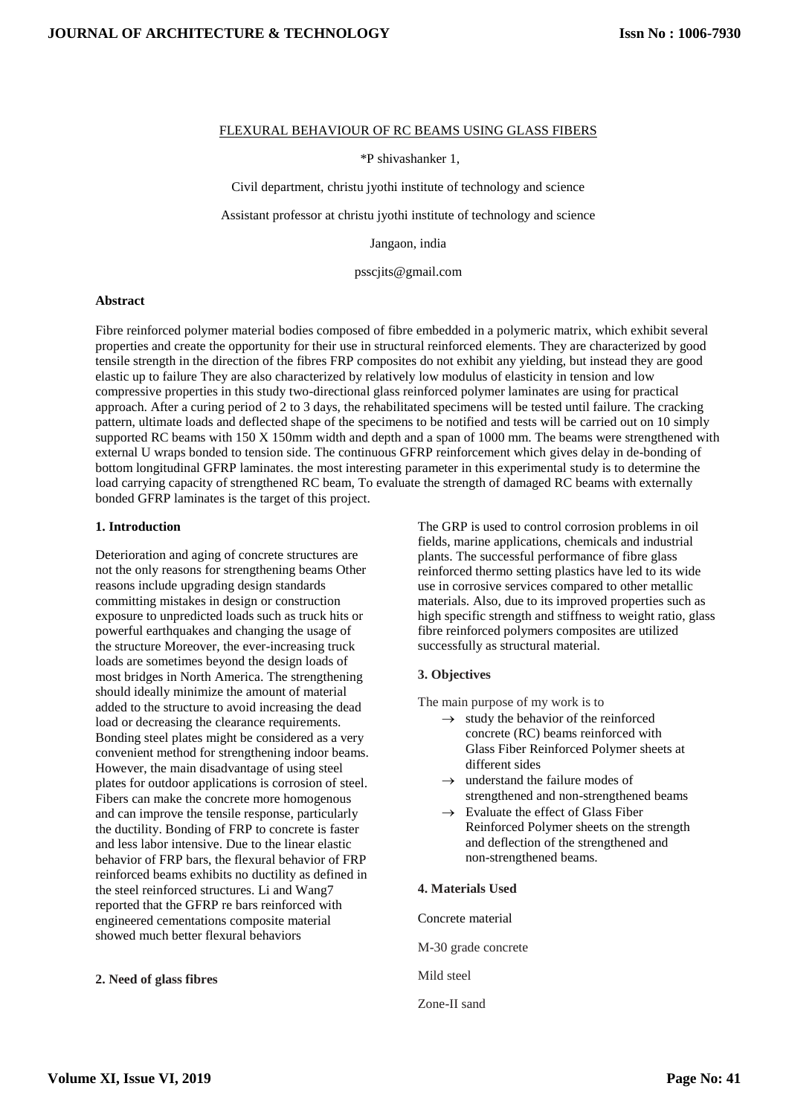### FLEXURAL BEHAVIOUR OF RC BEAMS USING GLASS FIBERS

\*P shivashanker 1,

Civil department, christu jyothi institute of technology and science

Assistant professor at christu jyothi institute of technology and science

Jangaon, india

psscjits@gmail.com

### **Abstract**

Fibre reinforced polymer material bodies composed of fibre embedded in a polymeric matrix, which exhibit several properties and create the opportunity for their use in structural reinforced elements. They are characterized by good tensile strength in the direction of the fibres FRP composites do not exhibit any yielding, but instead they are good elastic up to failure They are also characterized by relatively low modulus of elasticity in tension and low compressive properties in this study two-directional glass reinforced polymer laminates are using for practical approach. After a curing period of 2 to 3 days, the rehabilitated specimens will be tested until failure. The cracking pattern, ultimate loads and deflected shape of the specimens to be notified and tests will be carried out on 10 simply supported RC beams with 150 X 150mm width and depth and a span of 1000 mm. The beams were strengthened with external U wraps bonded to tension side. The continuous GFRP reinforcement which gives delay in de-bonding of bottom longitudinal GFRP laminates. the most interesting parameter in this experimental study is to determine the load carrying capacity of strengthened RC beam, To evaluate the strength of damaged RC beams with externally bonded GFRP laminates is the target of this project.

### **1. Introduction**

Deterioration and aging of concrete structures are not the only reasons for strengthening beams Other reasons include upgrading design standards committing mistakes in design or construction exposure to unpredicted loads such as truck hits or powerful earthquakes and changing the usage of the structure Moreover, the ever-increasing truck loads are sometimes beyond the design loads of most bridges in North America. The strengthening should ideally minimize the amount of material added to the structure to avoid increasing the dead load or decreasing the clearance requirements. Bonding steel plates might be considered as a very convenient method for strengthening indoor beams. However, the main disadvantage of using steel plates for outdoor applications is corrosion of steel. Fibers can make the concrete more homogenous and can improve the tensile response, particularly the ductility. Bonding of FRP to concrete is faster and less labor intensive. Due to the linear elastic behavior of FRP bars, the flexural behavior of FRP reinforced beams exhibits no ductility as defined in the steel reinforced structures. Li and Wang7 reported that the GFRP re bars reinforced with engineered cementations composite material showed much better flexural behaviors

**2. Need of glass fibres**

The GRP is used to control corrosion problems in oil fields, marine applications, chemicals and industrial plants. The successful performance of fibre glass reinforced thermo setting plastics have led to its wide use in corrosive services compared to other metallic materials. Also, due to its improved properties such as high specific strength and stiffness to weight ratio, glass fibre reinforced polymers composites are utilized successfully as structural material.

### **3. Objectives**

The main purpose of my work is to

- $\rightarrow$  study the behavior of the reinforced concrete (RC) beams reinforced with Glass Fiber Reinforced Polymer sheets at different sides
- $\rightarrow$  understand the failure modes of strengthened and non-strengthened beams
- $\rightarrow$  Evaluate the effect of Glass Fiber Reinforced Polymer sheets on the strength and deflection of the strengthened and non-strengthened beams.

### **4. Materials Used**

Concrete material

M-30 grade concrete

Mild steel

Zone-II sand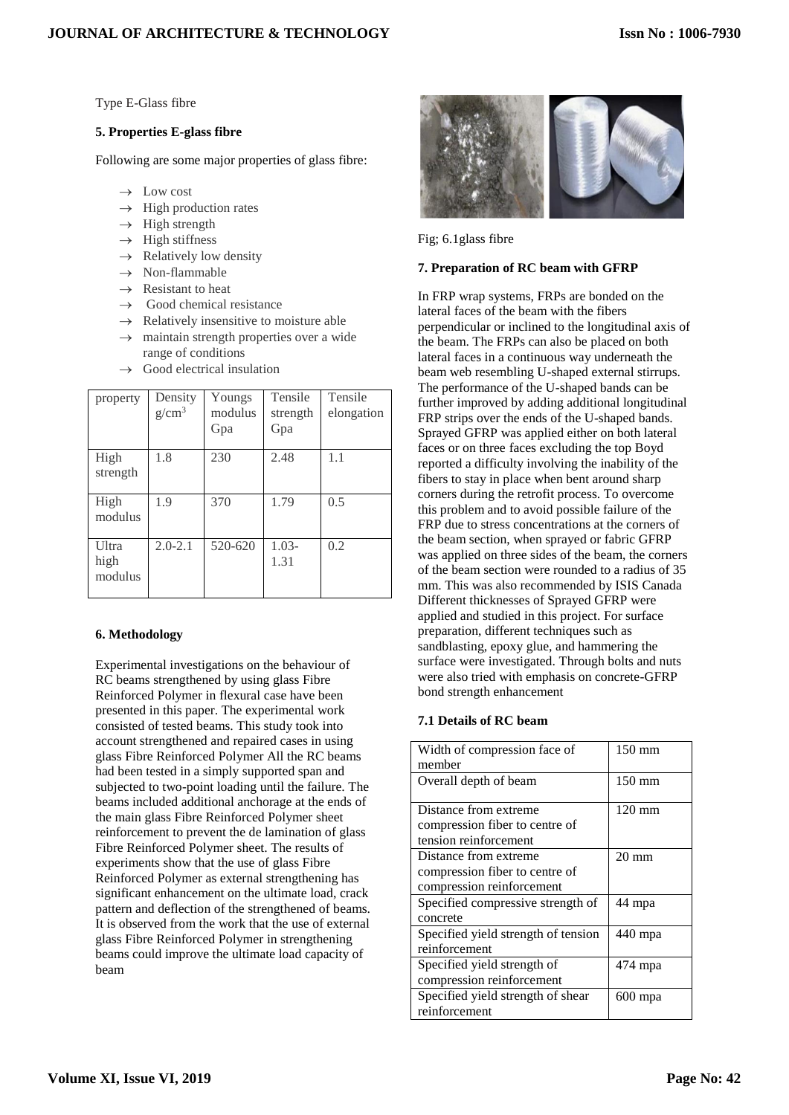Type E-Glass fibre

### **5. Properties E-glass fibre**

Following are some major properties of glass fibre:

- $\rightarrow$  Low cost
- $\rightarrow$  High production rates
- $\rightarrow$  High strength
- $\rightarrow$  High stiffness
- $\rightarrow$  Relatively low density
- $\rightarrow$  Non-flammable
- $\rightarrow$  Resistant to heat
- Good chemical resistance
- $\rightarrow$  Relatively insensitive to moisture able
- $\rightarrow$  maintain strength properties over a wide range of conditions
- $\rightarrow$  Good electrical insulation

| property                 | Density<br>$g/cm^3$ | Youngs<br>modulus<br>Gpa | Tensile<br>strength<br>Gpa | Tensile<br>elongation |
|--------------------------|---------------------|--------------------------|----------------------------|-----------------------|
| High<br>strength         | 1.8                 | 230                      | 2.48                       | 1.1                   |
| High<br>modulus          | 1.9                 | 370                      | 1.79                       | 0.5                   |
| Ultra<br>high<br>modulus | $2.0 - 2.1$         | 520-620                  | $1.03-$<br>1.31            | 0.2                   |

## **6. Methodology**

Experimental investigations on the behaviour of RC beams strengthened by using glass Fibre Reinforced Polymer in flexural case have been presented in this paper. The experimental work consisted of tested beams. This study took into account strengthened and repaired cases in using glass Fibre Reinforced Polymer All the RC beams had been tested in a simply supported span and subjected to two-point loading until the failure. The beams included additional anchorage at the ends of the main glass Fibre Reinforced Polymer sheet reinforcement to prevent the de lamination of glass Fibre Reinforced Polymer sheet. The results of experiments show that the use of glass Fibre Reinforced Polymer as external strengthening has significant enhancement on the ultimate load, crack pattern and deflection of the strengthened of beams. It is observed from the work that the use of external glass Fibre Reinforced Polymer in strengthening beams could improve the ultimate load capacity of beam



Fig; 6.1glass fibre

### **7. Preparation of RC beam with GFRP**

In FRP wrap systems, FRPs are bonded on the lateral faces of the beam with the fibers perpendicular or inclined to the longitudinal axis of the beam. The FRPs can also be placed on both lateral faces in a continuous way underneath the beam web resembling U-shaped external stirrups. The performance of the U-shaped bands can be further improved by adding additional longitudinal FRP strips over the ends of the U-shaped bands. Sprayed GFRP was applied either on both lateral faces or on three faces excluding the top Boyd reported a difficulty involving the inability of the fibers to stay in place when bent around sharp corners during the retrofit process. To overcome this problem and to avoid possible failure of the FRP due to stress concentrations at the corners of the beam section, when sprayed or fabric GFRP was applied on three sides of the beam, the corners of the beam section were rounded to a radius of 35 mm. This was also recommended by ISIS Canada Different thicknesses of Sprayed GFRP were applied and studied in this project. For surface preparation, different techniques such as sandblasting, epoxy glue, and hammering the surface were investigated. Through bolts and nuts were also tried with emphasis on concrete-GFRP bond strength enhancement

### **7.1 Details of RC beam**

| Width of compression face of        | $150 \text{ mm}$ |
|-------------------------------------|------------------|
| member                              |                  |
| Overall depth of beam               | $150 \text{ mm}$ |
|                                     |                  |
| Distance from extreme               | $120 \text{ mm}$ |
| compression fiber to centre of      |                  |
| tension reinforcement               |                  |
| Distance from extreme               | $20 \text{ mm}$  |
| compression fiber to centre of      |                  |
| compression reinforcement           |                  |
| Specified compressive strength of   | 44 mpa           |
| concrete                            |                  |
| Specified yield strength of tension | $440$ mpa        |
| reinforcement                       |                  |
| Specified yield strength of         | 474 mpa          |
| compression reinforcement           |                  |
| Specified yield strength of shear   | 600 mpa          |
| reinforcement                       |                  |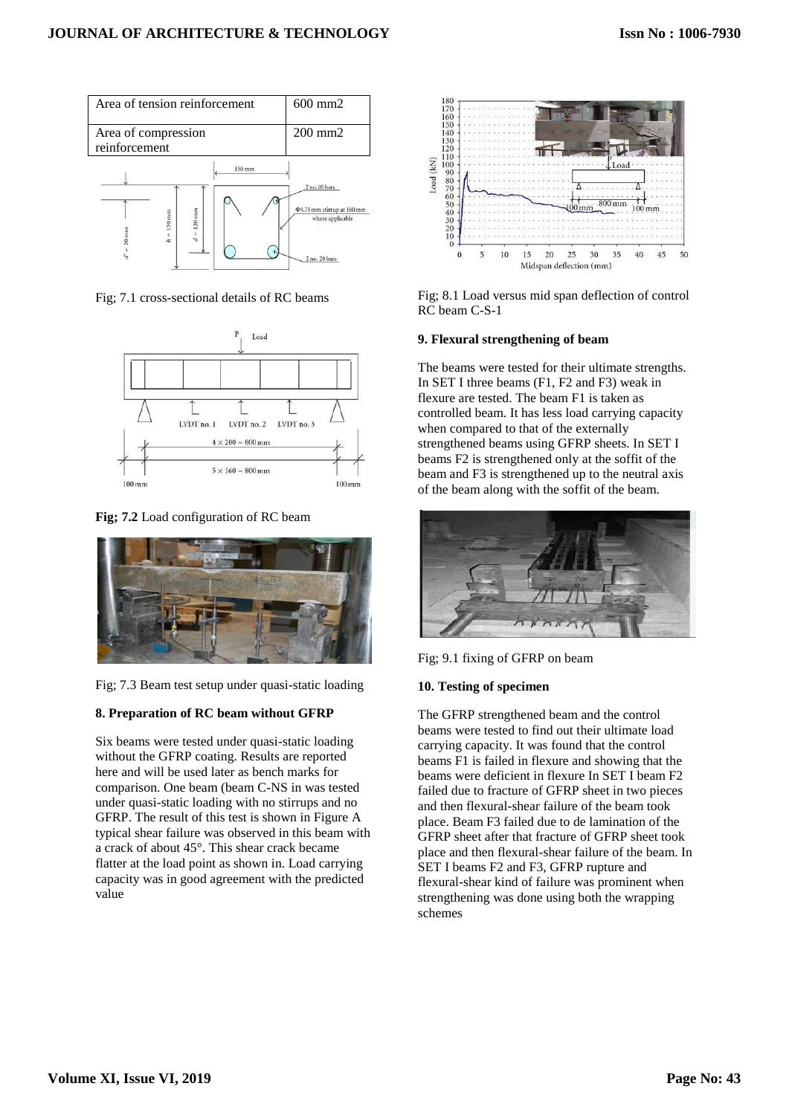

Fig; 7.1 cross-sectional details of RC beams



**Fig; 7.2** Load configuration of RC beam



Fig; 7.3 Beam test setup under quasi-static loading

## **8. Preparation of RC beam without GFRP**

Six beams were tested under quasi-static loading without the GFRP coating. Results are reported here and will be used later as bench marks for comparison. One beam (beam C-NS in was tested under quasi-static loading with no stirrups and no GFRP. The result of this test is shown in Figure A typical shear failure was observed in this beam with a crack of about 45°. This shear crack became flatter at the load point as shown in. Load carrying capacity was in good agreement with the predicted value



Fig; 8.1 Load versus mid span deflection of control RC beam C-S-1

## **9. Flexural strengthening of beam**

The beams were tested for their ultimate strengths. In SET I three beams (F1, F2 and F3) weak in flexure are tested. The beam F1 is taken as controlled beam. It has less load carrying capacity when compared to that of the externally strengthened beams using GFRP sheets. In SET I beams F2 is strengthened only at the soffit of the beam and F3 is strengthened up to the neutral axis of the beam along with the soffit of the beam.



Fig; 9.1 fixing of GFRP on beam

## **10. Testing of specimen**

The GFRP strengthened beam and the control beams were tested to find out their ultimate load carrying capacity. It was found that the control beams F1 is failed in flexure and showing that the beams were deficient in flexure In SET I beam F2 failed due to fracture of GFRP sheet in two pieces and then flexural-shear failure of the beam took place. Beam F3 failed due to de lamination of the GFRP sheet after that fracture of GFRP sheet took place and then flexural-shear failure of the beam. In SET I beams F2 and F3, GFRP rupture and flexural-shear kind of failure was prominent when strengthening was done using both the wrapping schemes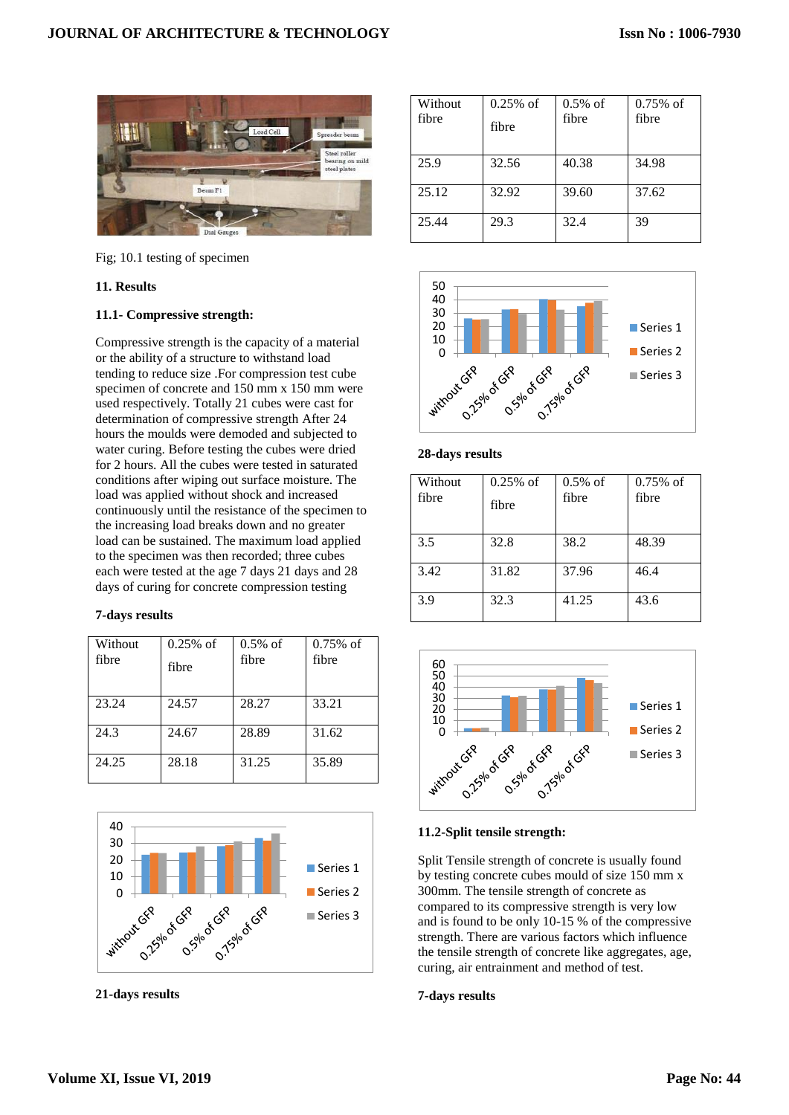

Fig; 10.1 testing of specimen

## **11. Results**

## **11.1- Compressive strength:**

Compressive strength is the capacity of a material or the ability of a structure to withstand load tending to reduce size .For compression test cube specimen of concrete and 150 mm x 150 mm were used respectively. Totally 21 cubes were cast for determination of compressive strength After 24 hours the moulds were demoded and subjected to water curing. Before testing the cubes were dried for 2 hours. All the cubes were tested in saturated conditions after wiping out surface moisture. The load was applied without shock and increased continuously until the resistance of the specimen to the increasing load breaks down and no greater load can be sustained. The maximum load applied to the specimen was then recorded; three cubes each were tested at the age 7 days 21 days and 28 days of curing for concrete compression testing

## **7-days results**

| Without<br>fibre | $0.25%$ of<br>fibre | $0.5\%$ of<br>fibre | $0.75%$ of<br>fibre |
|------------------|---------------------|---------------------|---------------------|
| 23.24            | 24.57               | 28.27               | 33.21               |
| 24.3             | 24.67               | 28.89               | 31.62               |
| 24.25            | 28.18               | 31.25               | 35.89               |



**21-days results**

| Without<br>fibre | $0.25%$ of<br>fibre | $0.5\%$ of<br>fibre | $0.75%$ of<br>fibre |
|------------------|---------------------|---------------------|---------------------|
| 25.9             | 32.56               | 40.38               | 34.98               |
| 25.12            | 32.92               | 39.60               | 37.62               |
| 25.44            | 29.3                | 32.4                | 39                  |



| Without<br>fibre | $0.25%$ of<br>fibre | $0.5\%$ of<br>fibre | $0.75\%$ of<br>fibre |
|------------------|---------------------|---------------------|----------------------|
| 3.5              | 32.8                | 38.2                | 48.39                |
| 3.42             | 31.82               | 37.96               | 46.4                 |
| 3.9              | 32.3                | 41.25               | 43.6                 |



## **11.2-Split tensile strength:**

Split Tensile strength of concrete is usually found by testing concrete cubes mould of size 150 mm x 300mm. The tensile strength of concrete as compared to its compressive strength is very low and is found to be only 10-15 % of the compressive strength. There are various factors which influence the tensile strength of concrete like aggregates, age, curing, air entrainment and method of test.

## **7-days results**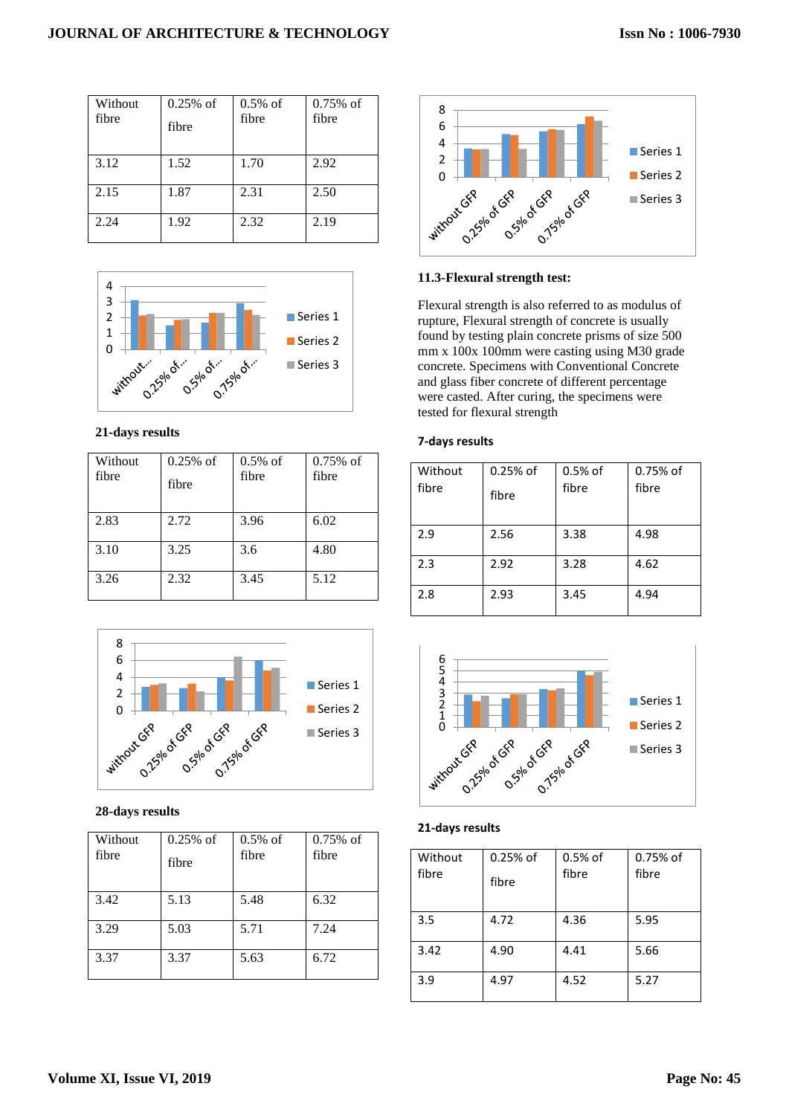| Without<br>fibre | $0.25%$ of<br>fibre | $0.5%$ of<br>fibre | $0.75%$ of<br>fibre |
|------------------|---------------------|--------------------|---------------------|
| 3.12             | 1.52                | 1.70               | 2.92                |
| 2.15             | 1.87                | 2.31               | 2.50                |
| 2.24             | 1.92                | 2.32               | 2.19                |



## **21-days results**

| Without<br>fibre | $0.25\%$ of<br>fibre | $0.5\%$ of<br>fibre | $0.75%$ of<br>fibre |
|------------------|----------------------|---------------------|---------------------|
| 2.83             | 2.72                 | 3.96                | 6.02                |
| 3.10             | 3.25                 | 3.6                 | 4.80                |
| 3.26             | 2.32                 | 3.45                | 5.12                |



| Without<br>fibre | $0.25%$ of<br>fibre | $0.5\%$ of<br>fibre | $0.75\%$ of<br>fibre |
|------------------|---------------------|---------------------|----------------------|
| 3.42             | 5.13                | 5.48                | 6.32                 |
| 3.29             | 5.03                | 5.71                | 7.24                 |
| 3.37             | 3.37                | 5.63                | 6.72                 |



## **11.3-Flexural strength test:**

Flexural strength is also referred to as modulus of rupture, Flexural strength of concrete is usually found by testing plain concrete prisms of size 500 mm x 100x 100mm were casting using M30 grade concrete. Specimens with Conventional Concrete and glass fiber concrete of different percentage were casted. After curing, the specimens were tested for flexural strength

## **7-days results**

| Without<br>fibre | $0.25%$ of<br>fibre | $0.5%$ of<br>fibre | 0.75% of<br>fibre |
|------------------|---------------------|--------------------|-------------------|
| 2.9              | 2.56                | 3.38               | 4.98              |
| 2.3              | 2.92                | 3.28               | 4.62              |
| 2.8              | 2.93                | 3.45               | 4.94              |



## **21-days results**

| Without<br>fibre | $0.25%$ of<br>fibre | 0.5% of<br>fibre | 0.75% of<br>fibre |
|------------------|---------------------|------------------|-------------------|
| 3.5              | 4.72                | 4.36             | 5.95              |
| 3.42             | 4.90                | 4.41             | 5.66              |
| 3.9              | 4.97                | 4.52             | 5.27              |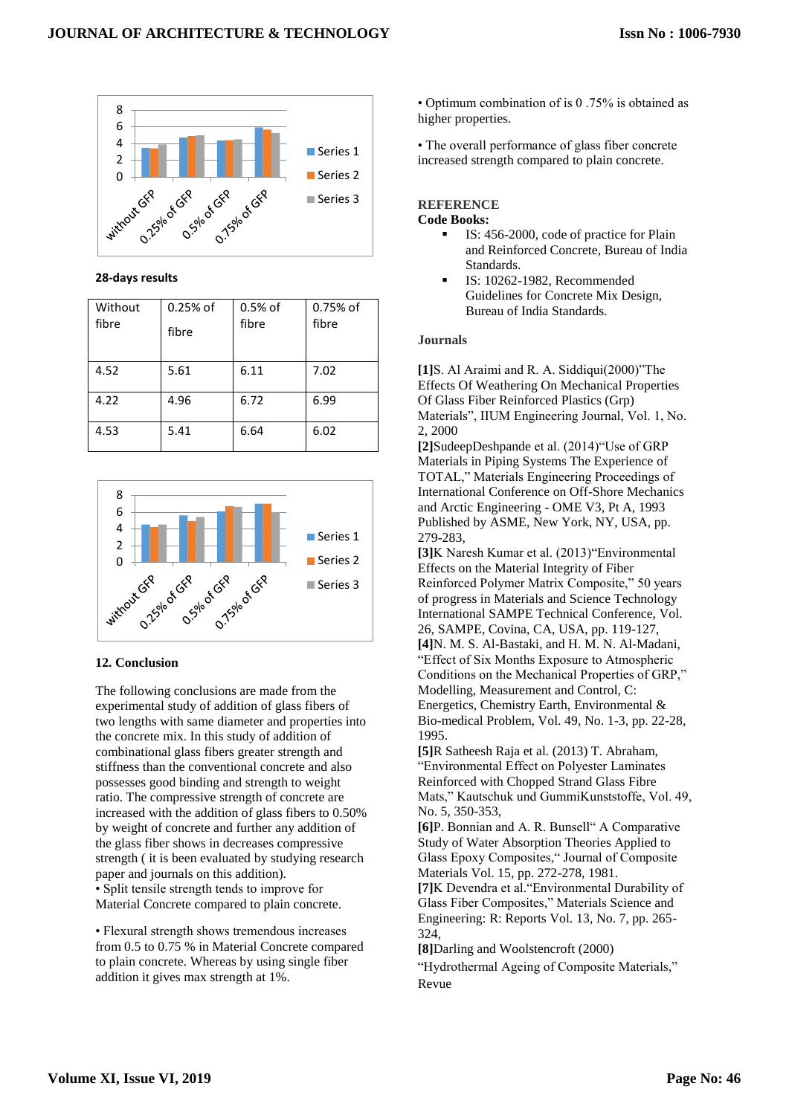

### **28-days results**

| Without<br>fibre | $0.25%$ of<br>fibre | $0.5%$ of<br>fibre | 0.75% of<br>fibre |
|------------------|---------------------|--------------------|-------------------|
| 4.52             | 5.61                | 6.11               | 7.02              |
| 4.22             | 4.96                | 6.72               | 6.99              |
| 4.53             | 5.41                | 6.64               | 6.02              |



## **12. Conclusion**

The following conclusions are made from the experimental study of addition of glass fibers of two lengths with same diameter and properties into the concrete mix. In this study of addition of combinational glass fibers greater strength and stiffness than the conventional concrete and also possesses good binding and strength to weight ratio. The compressive strength of concrete are increased with the addition of glass fibers to 0.50% by weight of concrete and further any addition of the glass fiber shows in decreases compressive strength ( it is been evaluated by studying research paper and journals on this addition). • Split tensile strength tends to improve for Material Concrete compared to plain concrete.

• Flexural strength shows tremendous increases from 0.5 to 0.75 % in Material Concrete compared to plain concrete. Whereas by using single fiber addition it gives max strength at 1%.

• Optimum combination of is 0 .75% is obtained as higher properties.

• The overall performance of glass fiber concrete increased strength compared to plain concrete.

# **REFERENCE**

## **Code Books:**

- IS: 456-2000, code of practice for Plain and Reinforced Concrete, Bureau of India **Standards**
- IS: 10262-1982, Recommended Guidelines for Concrete Mix Design, Bureau of India Standards.

### **Journals**

**[1]**S. Al Araimi and R. A. Siddiqui(2000)"The Effects Of Weathering On Mechanical Properties Of Glass Fiber Reinforced Plastics (Grp) Materials", IIUM Engineering Journal, Vol. 1, No. 2, 2000

**[2]**SudeepDeshpande et al. (2014)"Use of GRP Materials in Piping Systems The Experience of TOTAL," Materials Engineering Proceedings of International Conference on Off-Shore Mechanics and Arctic Engineering - OME V3, Pt A, 1993 Published by ASME, New York, NY, USA, pp. 279-283,

**[3]**K Naresh Kumar et al. (2013)"Environmental Effects on the Material Integrity of Fiber Reinforced Polymer Matrix Composite," 50 years of progress in Materials and Science Technology International SAMPE Technical Conference, Vol. 26, SAMPE, Covina, CA, USA, pp. 119-127, **[4]**N. M. S. Al-Bastaki, and H. M. N. Al-Madani, "Effect of Six Months Exposure to Atmospheric Conditions on the Mechanical Properties of GRP," Modelling, Measurement and Control, C: Energetics, Chemistry Earth, Environmental & Bio-medical Problem, Vol. 49, No. 1-3, pp. 22-28, 1995.

**[5]**R Satheesh Raja et al. (2013) T. Abraham, "Environmental Effect on Polyester Laminates Reinforced with Chopped Strand Glass Fibre Mats," Kautschuk und GummiKunststoffe, Vol. 49, No. 5, 350-353,

**[6]**P. Bonnian and A. R. Bunsell" A Comparative Study of Water Absorption Theories Applied to Glass Epoxy Composites," Journal of Composite Materials Vol. 15, pp. 272-278, 1981.

**[7]**K Devendra et al."Environmental Durability of Glass Fiber Composites," Materials Science and Engineering: R: Reports Vol. 13, No. 7, pp. 265- 324,

**[8]**Darling and Woolstencroft (2000)

"Hydrothermal Ageing of Composite Materials," Revue